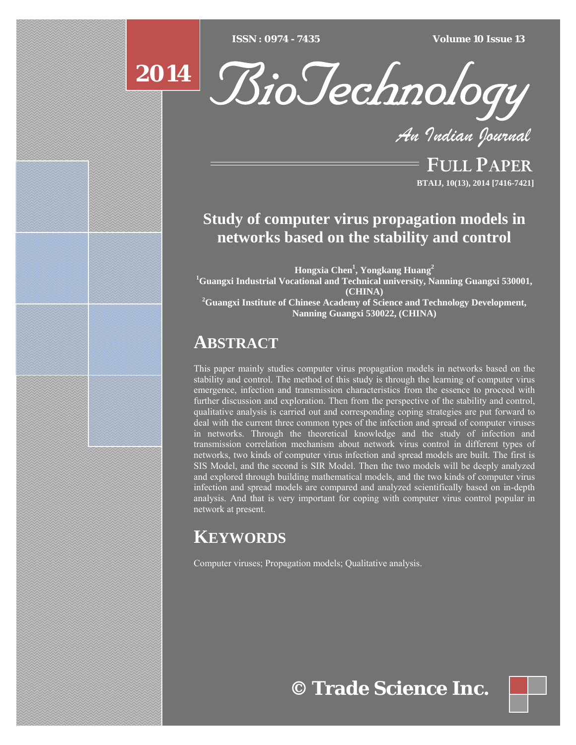$ISSN : 0974 - 7435$ 

*ISSN : 0974 - 7435 Volume 10 Issue 13*

# **2014**



*An Indian Journal*

FULL PAPER **BTAIJ, 10(13), 2014 [7416-7421]**

# **Study of computer virus propagation models in networks based on the stability and control**

**Hongxia Chen1 , Yongkang Huang<sup>2</sup> 1 Guangxi Industrial Vocational and Technical university, Nanning Guangxi 530001, (CHINA) 2 Guangxi Institute of Chinese Academy of Science and Technology Development, Nanning Guangxi 530022, (CHINA)** 

# **ABSTRACT**

This paper mainly studies computer virus propagation models in networks based on the stability and control. The method of this study is through the learning of computer virus emergence, infection and transmission characteristics from the essence to proceed with further discussion and exploration. Then from the perspective of the stability and control, qualitative analysis is carried out and corresponding coping strategies are put forward to deal with the current three common types of the infection and spread of computer viruses in networks. Through the theoretical knowledge and the study of infection and transmission correlation mechanism about network virus control in different types of networks, two kinds of computer virus infection and spread models are built. The first is SIS Model, and the second is SIR Model. Then the two models will be deeply analyzed and explored through building mathematical models, and the two kinds of computer virus infection and spread models are compared and analyzed scientifically based on in-depth analysis. And that is very important for coping with computer virus control popular in network at present.

# **KEYWORDS**

Computer viruses; Propagation models; Qualitative analysis.

# **© Trade Science Inc.**

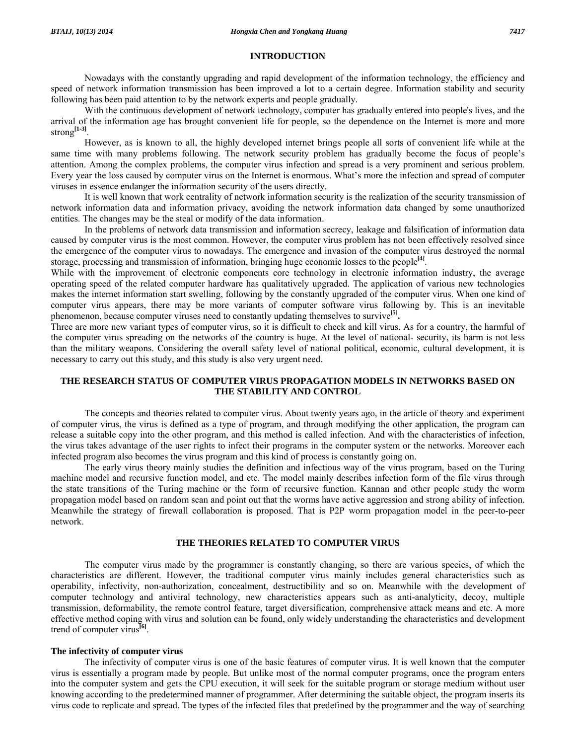# **INTRODUCTION**

 Nowadays with the constantly upgrading and rapid development of the information technology, the efficiency and speed of network information transmission has been improved a lot to a certain degree. Information stability and security following has been paid attention to by the network experts and people gradually.

 With the continuous development of network technology, computer has gradually entered into people's lives, and the arrival of the information age has brought convenient life for people, so the dependence on the Internet is more and more strong**[1-3]**.

 However, as is known to all, the highly developed internet brings people all sorts of convenient life while at the same time with many problems following. The network security problem has gradually become the focus of people's attention. Among the complex problems, the computer virus infection and spread is a very prominent and serious problem. Every year the loss caused by computer virus on the Internet is enormous. What's more the infection and spread of computer viruses in essence endanger the information security of the users directly.

 It is well known that work centrality of network information security is the realization of the security transmission of network information data and information privacy, avoiding the network information data changed by some unauthorized entities. The changes may be the steal or modify of the data information.

 In the problems of network data transmission and information secrecy, leakage and falsification of information data caused by computer virus is the most common. However, the computer virus problem has not been effectively resolved since the emergence of the computer virus to nowadays. The emergence and invasion of the computer virus destroyed the normal storage, processing and transmission of information, bringing huge economic losses to the people**[4]**.

While with the improvement of electronic components core technology in electronic information industry, the average operating speed of the related computer hardware has qualitatively upgraded. The application of various new technologies makes the internet information start swelling, following by the constantly upgraded of the computer virus. When one kind of computer virus appears, there may be more variants of computer software virus following by. This is an inevitable phenomenon, because computer viruses need to constantly updating themselves to survive**[5].**

Three are more new variant types of computer virus, so it is difficult to check and kill virus. As for a country, the harmful of the computer virus spreading on the networks of the country is huge. At the level of national- security, its harm is not less than the military weapons. Considering the overall safety level of national political, economic, cultural development, it is necessary to carry out this study, and this study is also very urgent need.

# **THE RESEARCH STATUS OF COMPUTER VIRUS PROPAGATION MODELS IN NETWORKS BASED ON THE STABILITY AND CONTROL**

 The concepts and theories related to computer virus. About twenty years ago, in the article of theory and experiment of computer virus, the virus is defined as a type of program, and through modifying the other application, the program can release a suitable copy into the other program, and this method is called infection. And with the characteristics of infection, the virus takes advantage of the user rights to infect their programs in the computer system or the networks. Moreover each infected program also becomes the virus program and this kind of process is constantly going on.

 The early virus theory mainly studies the definition and infectious way of the virus program, based on the Turing machine model and recursive function model, and etc. The model mainly describes infection form of the file virus through the state transitions of the Turing machine or the form of recursive function. Kannan and other people study the worm propagation model based on random scan and point out that the worms have active aggression and strong ability of infection. Meanwhile the strategy of firewall collaboration is proposed. That is P2P worm propagation model in the peer-to-peer network.

# **THE THEORIES RELATED TO COMPUTER VIRUS**

 The computer virus made by the programmer is constantly changing, so there are various species, of which the characteristics are different. However, the traditional computer virus mainly includes general characteristics such as operability, infectivity, non-authorization, concealment, destructibility and so on. Meanwhile with the development of computer technology and antiviral technology, new characteristics appears such as anti-analyticity, decoy, multiple transmission, deformability, the remote control feature, target diversification, comprehensive attack means and etc. A more effective method coping with virus and solution can be found, only widely understanding the characteristics and development trend of computer virus**[6]**.

# **The infectivity of computer virus**

 The infectivity of computer virus is one of the basic features of computer virus. It is well known that the computer virus is essentially a program made by people. But unlike most of the normal computer programs, once the program enters into the computer system and gets the CPU execution, it will seek for the suitable program or storage medium without user knowing according to the predetermined manner of programmer. After determining the suitable object, the program inserts its virus code to replicate and spread. The types of the infected files that predefined by the programmer and the way of searching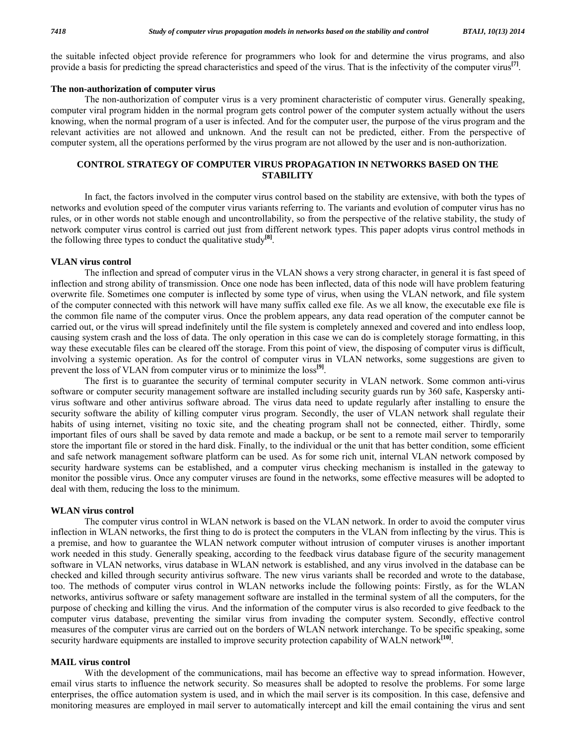the suitable infected object provide reference for programmers who look for and determine the virus programs, and also provide a basis for predicting the spread characteristics and speed of the virus. That is the infectivity of the computer virus**[7]**.

# **The non-authorization of computer virus**

 The non-authorization of computer virus is a very prominent characteristic of computer virus. Generally speaking, computer viral program hidden in the normal program gets control power of the computer system actually without the users knowing, when the normal program of a user is infected. And for the computer user, the purpose of the virus program and the relevant activities are not allowed and unknown. And the result can not be predicted, either. From the perspective of computer system, all the operations performed by the virus program are not allowed by the user and is non-authorization.

# **CONTROL STRATEGY OF COMPUTER VIRUS PROPAGATION IN NETWORKS BASED ON THE STABILITY**

 In fact, the factors involved in the computer virus control based on the stability are extensive, with both the types of networks and evolution speed of the computer virus variants referring to. The variants and evolution of computer virus has no rules, or in other words not stable enough and uncontrollability, so from the perspective of the relative stability, the study of network computer virus control is carried out just from different network types. This paper adopts virus control methods in the following three types to conduct the qualitative study**[8]**.

### **VLAN virus control**

 The inflection and spread of computer virus in the VLAN shows a very strong character, in general it is fast speed of inflection and strong ability of transmission. Once one node has been inflected, data of this node will have problem featuring overwrite file. Sometimes one computer is inflected by some type of virus, when using the VLAN network, and file system of the computer connected with this network will have many suffix called exe file. As we all know, the executable exe file is the common file name of the computer virus. Once the problem appears, any data read operation of the computer cannot be carried out, or the virus will spread indefinitely until the file system is completely annexed and covered and into endless loop, causing system crash and the loss of data. The only operation in this case we can do is completely storage formatting, in this way these executable files can be cleared off the storage. From this point of view, the disposing of computer virus is difficult, involving a systemic operation. As for the control of computer virus in VLAN networks, some suggestions are given to prevent the loss of VLAN from computer virus or to minimize the loss**[9]**.

 The first is to guarantee the security of terminal computer security in VLAN network. Some common anti-virus software or computer security management software are installed including security guards run by 360 safe, Kaspersky antivirus software and other antivirus software abroad. The virus data need to update regularly after installing to ensure the security software the ability of killing computer virus program. Secondly, the user of VLAN network shall regulate their habits of using internet, visiting no toxic site, and the cheating program shall not be connected, either. Thirdly, some important files of ours shall be saved by data remote and made a backup, or be sent to a remote mail server to temporarily store the important file or stored in the hard disk. Finally, to the individual or the unit that has better condition, some efficient and safe network management software platform can be used. As for some rich unit, internal VLAN network composed by security hardware systems can be established, and a computer virus checking mechanism is installed in the gateway to monitor the possible virus. Once any computer viruses are found in the networks, some effective measures will be adopted to deal with them, reducing the loss to the minimum.

# **WLAN virus control**

 The computer virus control in WLAN network is based on the VLAN network. In order to avoid the computer virus inflection in WLAN networks, the first thing to do is protect the computers in the VLAN from inflecting by the virus. This is a premise, and how to guarantee the WLAN network computer without intrusion of computer viruses is another important work needed in this study. Generally speaking, according to the feedback virus database figure of the security management software in VLAN networks, virus database in WLAN network is established, and any virus involved in the database can be checked and killed through security antivirus software. The new virus variants shall be recorded and wrote to the database, too. The methods of computer virus control in WLAN networks include the following points: Firstly, as for the WLAN networks, antivirus software or safety management software are installed in the terminal system of all the computers, for the purpose of checking and killing the virus. And the information of the computer virus is also recorded to give feedback to the computer virus database, preventing the similar virus from invading the computer system. Secondly, effective control measures of the computer virus are carried out on the borders of WLAN network interchange. To be specific speaking, some security hardware equipments are installed to improve security protection capability of WALN network<sup>[10]</sup>.

# **MAIL virus control**

 With the development of the communications, mail has become an effective way to spread information. However, email virus starts to influence the network security. So measures shall be adopted to resolve the problems. For some large enterprises, the office automation system is used, and in which the mail server is its composition. In this case, defensive and monitoring measures are employed in mail server to automatically intercept and kill the email containing the virus and sent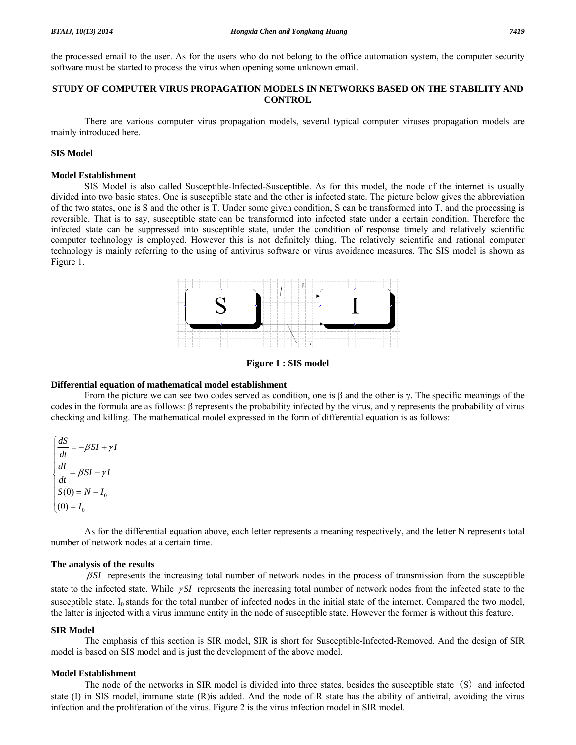the processed email to the user. As for the users who do not belong to the office automation system, the computer security software must be started to process the virus when opening some unknown email.

# **STUDY OF COMPUTER VIRUS PROPAGATION MODELS IN NETWORKS BASED ON THE STABILITY AND CONTROL**

 There are various computer virus propagation models, several typical computer viruses propagation models are mainly introduced here.

# **SIS Model**

# **Model Establishment**

 SIS Model is also called Susceptible-Infected-Susceptible. As for this model, the node of the internet is usually divided into two basic states. One is susceptible state and the other is infected state. The picture below gives the abbreviation of the two states, one is S and the other is T. Under some given condition, S can be transformed into T, and the processing is reversible. That is to say, susceptible state can be transformed into infected state under a certain condition. Therefore the infected state can be suppressed into susceptible state, under the condition of response timely and relatively scientific computer technology is employed. However this is not definitely thing. The relatively scientific and rational computer technology is mainly referring to the using of antivirus software or virus avoidance measures. The SIS model is shown as Figure 1.



**Figure 1 : SIS model** 

#### **Differential equation of mathematical model establishment**

From the picture we can see two codes served as condition, one is  $\beta$  and the other is γ. The specific meanings of the codes in the formula are as follows: β represents the probability infected by the virus, and γ represents the probability of virus checking and killing. The mathematical model expressed in the form of differential equation is as follows:

$$
\begin{cases}\n\frac{dS}{dt} = -\beta SI + \gamma I \\
\frac{dI}{dt} = \beta SI - \gamma I \\
S(0) = N - I_0 \\
(0) = I_0\n\end{cases}
$$

 As for the differential equation above, each letter represents a meaning respectively, and the letter N represents total number of network nodes at a certain time.

# **The analysis of the results**

β *SI* represents the increasing total number of network nodes in the process of transmission from the susceptible state to the infected state. While <sup>γ</sup> *SI* represents the increasing total number of network nodes from the infected state to the susceptible state.  $I_0$  stands for the total number of infected nodes in the initial state of the internet. Compared the two model, the latter is injected with a virus immune entity in the node of susceptible state. However the former is without this feature.

#### **SIR Model**

 The emphasis of this section is SIR model, SIR is short for Susceptible-Infected-Removed. And the design of SIR model is based on SIS model and is just the development of the above model.

# **Model Establishment**

The node of the networks in SIR model is divided into three states, besides the susceptible state (S) and infected state (I) in SIS model, immune state (R)is added. And the node of R state has the ability of antiviral, avoiding the virus infection and the proliferation of the virus. Figure 2 is the virus infection model in SIR model.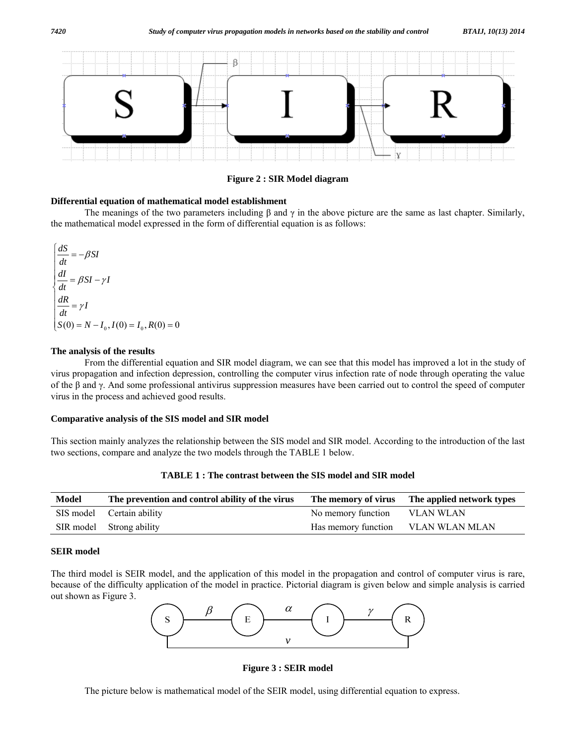

**Figure 2 : SIR Model diagram** 

# **Differential equation of mathematical model establishment**

The meanings of the two parameters including  $\beta$  and  $\gamma$  in the above picture are the same as last chapter. Similarly, the mathematical model expressed in the form of differential equation is as follows:

 $S(0) = N - I_0, I(0) = I_0, R(0) = 0$  $\int \frac{dS}{dt} = -\beta SI$  $\frac{dI}{dt} = \beta SI - \gamma I$  $\frac{dR}{dt} = \gamma I$  $\frac{1}{2}$  $\frac{dI}{dt} = \beta SI \frac{1}{2}$  $\frac{u}{u} =$  $\frac{1}{2}$ 

# **The analysis of the results**

 From the differential equation and SIR model diagram, we can see that this model has improved a lot in the study of virus propagation and infection depression, controlling the computer virus infection rate of node through operating the value of the β and γ. And some professional antivirus suppression measures have been carried out to control the speed of computer virus in the process and achieved good results.

# **Comparative analysis of the SIS model and SIR model**

This section mainly analyzes the relationship between the SIS model and SIR model. According to the introduction of the last two sections, compare and analyze the two models through the TABLE 1 below.

| <b>Model</b> | The prevention and control ability of the virus |                    | The memory of virus The applied network types |
|--------------|-------------------------------------------------|--------------------|-----------------------------------------------|
|              | SIS model Certain ability                       | No memory function | VLAN WLAN                                     |
|              | SIR model Strong ability                        |                    | Has memory function VLAN WLAN MLAN            |

**TABLE 1 : The contrast between the SIS model and SIR model** 

# **SEIR model**

The third model is SEIR model, and the application of this model in the propagation and control of computer virus is rare, because of the difficulty application of the model in practice. Pictorial diagram is given below and simple analysis is carried out shown as Figure 3.



**Figure 3 : SEIR model** 

The picture below is mathematical model of the SEIR model, using differential equation to express.